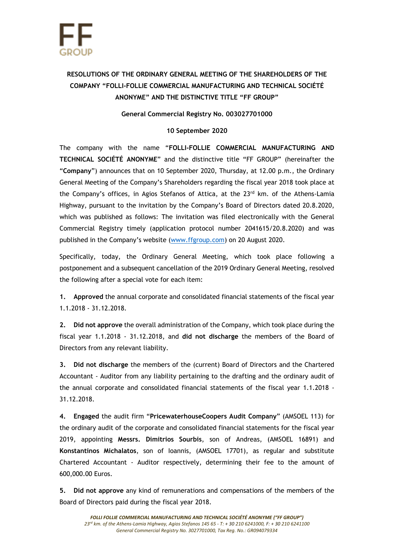## **RESOLUTIONS OF THE ORDINARY GENERAL MEETING OF THE SHAREHOLDERS OF THE COMPANY "FOLLI-FOLLIE COMMERCIAL MANUFACTURING AND TECHNICAL SOCIÉTÉ ANONYME" AND THE DISTINCTIVE TITLE "FF GROUP"**

## **General Commercial Registry No. 003027701000**

## **10 September 2020**

The company with the name "**FOLLI-FOLLIE COMMERCIAL MANUFACTURING AND TECHNICAL SOCIÉTÉ ANONYME**" and the distinctive title "FF GROUP" (hereinafter the "**Company**") announces that on 10 September 2020, Thursday, at 12.00 p.m., the Ordinary General Meeting of the Company's Shareholders regarding the fiscal year 2018 took place at the Company's offices, in Agios Stefanos of Attica, at the 23<sup>rd</sup> km. of the Athens-Lamia Highway, pursuant to the invitation by the Company's Board of Directors dated 20.8.2020, which was published as follows: The invitation was filed electronically with the General Commercial Registry timely (application protocol number 2041615/20.8.2020) and was published in the Company's website ([www.ffgroup.com\)](http://www.ffgroup.com/) on 20 August 2020.

Specifically, today, the Ordinary General Meeting, which took place following a postponement and a subsequent cancellation of the 2019 Ordinary General Meeting, resolved the following after a special vote for each item:

**1. Approved** the annual corporate and consolidated financial statements of the fiscal year 1.1.2018 - 31.12.2018.

**2. Did not approve** the overall administration of the Company, which took place during the fiscal year 1.1.2018 - 31.12.2018, and **did not discharge** the members of the Board of Directors from any relevant liability.

**3. Did not discharge** the members of the (current) Board of Directors and the Chartered Accountant - Auditor from any liability pertaining to the drafting and the ordinary audit of the annual corporate and consolidated financial statements of the fiscal year 1.1.2018 - 31.12.2018.

**4. Engaged** the audit firm "**PricewaterhouseCoopers Audit Company**" (AMSOEL 113) for the ordinary audit of the corporate and consolidated financial statements for the fiscal year 2019, appointing **Messrs. Dimitrios Sourbis**, son of Andreas, (AMSOEL 16891) and **Konstantinos Michalatos**, son of Ioannis, (AMSOEL 17701), as regular and substitute Chartered Accountant - Auditor respectively, determining their fee to the amount of 600,000.00 Euros.

**5. Did not approve** any kind of remunerations and compensations of the members of the Board of Directors paid during the fiscal year 2018.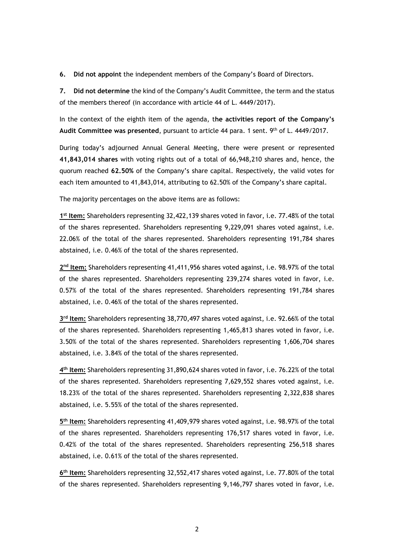**6. Did not appoint** the independent members of the Company's Board of Directors.

**7. Did not determine** the kind of the Company's Audit Committee, the term and the status of the members thereof (in accordance with article 44 of L. 4449/2017).

In the context of the eighth item of the agenda, t**he activities report of the Company's Audit Committee was presented**, pursuant to article 44 para. 1 sent. 9 th of L. 4449/2017.

During today's adjourned Annual General Meeting, there were present or represented **41,843,014 shares** with voting rights out of a total of 66,948,210 shares and, hence, the quorum reached **62.50%** of the Company's share capital. Respectively, the valid votes for each item amounted to 41,843,014, attributing to 62.50% of the Company's share capital.

The majority percentages on the above items are as follows:

**1 st Item:** Shareholders representing 32,422,139 shares voted in favor, i.e. 77.48% of the total of the shares represented. Shareholders representing 9,229,091 shares voted against, i.e. 22.06% of the total of the shares represented. Shareholders representing 191,784 shares abstained, i.e. 0.46% of the total of the shares represented.

2<sup>nd</sup> Item: Shareholders representing 41,411,956 shares voted against, i.e. 98.97% of the total of the shares represented. Shareholders representing 239,274 shares voted in favor, i.e. 0.57% of the total of the shares represented. Shareholders representing 191,784 shares abstained, i.e. 0.46% of the total of the shares represented.

**3 rd Item:** Shareholders representing 38,770,497 shares voted against, i.e. 92.66% of the total of the shares represented. Shareholders representing 1,465,813 shares voted in favor, i.e. 3.50% of the total of the shares represented. Shareholders representing 1,606,704 shares abstained, i.e. 3.84% of the total of the shares represented.

**4 th Item:** Shareholders representing 31,890,624 shares voted in favor, i.e. 76.22% of the total of the shares represented. Shareholders representing 7,629,552 shares voted against, i.e. 18.23% of the total of the shares represented. Shareholders representing 2,322,838 shares abstained, i.e. 5.55% of the total of the shares represented.

**5 th Item:** Shareholders representing 41,409,979 shares voted against, i.e. 98.97% of the total of the shares represented. Shareholders representing 176,517 shares voted in favor, i.e. 0.42% of the total of the shares represented. Shareholders representing 256,518 shares abstained, i.e. 0.61% of the total of the shares represented.

**6 th Item:** Shareholders representing 32,552,417 shares voted against, i.e. 77.80% of the total of the shares represented. Shareholders representing 9,146,797 shares voted in favor, i.e.